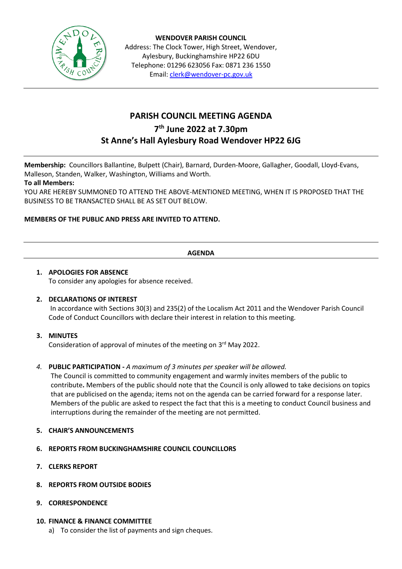

**WENDOVER PARISH COUNCIL** Address: The Clock Tower, High Street, Wendover, Aylesbury, Buckinghamshire HP22 6DU Telephone: 01296 623056 Fax: 0871 236 1550 Email[: clerk@wendover-pc.gov.uk](mailto:clerk@wendover-pc.gov.uk)

# **PARISH COUNCIL MEETING AGENDA**

# **7 th June 2022 at 7.30pm**

# **St Anne's Hall Aylesbury Road Wendover HP22 6JG**

**Membership:** Councillors Ballantine, Bulpett (Chair), Barnard, Durden-Moore, Gallagher, Goodall, Lloyd-Evans, Malleson, Standen, Walker, Washington, Williams and Worth.

## **To all Members:**

YOU ARE HEREBY SUMMONED TO ATTEND THE ABOVE-MENTIONED MEETING, WHEN IT IS PROPOSED THAT THE BUSINESS TO BE TRANSACTED SHALL BE AS SET OUT BELOW.

## **MEMBERS OF THE PUBLIC AND PRESS ARE INVITED TO ATTEND.**

## **AGENDA**

#### **1. APOLOGIES FOR ABSENCE** To consider any apologies for absence received.

## **2. DECLARATIONS OF INTEREST**

In accordance with Sections 30(3) and 235(2) of the Localism Act 2011 and the Wendover Parish Council Code of Conduct Councillors with declare their interest in relation to this meeting.

#### **3. MINUTES**

Consideration of approval of minutes of the meeting on 3<sup>rd</sup> May 2022.

#### *4.* **PUBLIC PARTICIPATION -** *A maximum of 3 minutes per speaker will be allowed.*

The Council is committed to community engagement and warmly invites members of the public to contribute**.** Members of the public should note that the Council is only allowed to take decisions on topics that are publicised on the agenda; items not on the agenda can be carried forward for a response later. Members of the public are asked to respect the fact that this is a meeting to conduct Council business and interruptions during the remainder of the meeting are not permitted.

#### **5. CHAIR'S ANNOUNCEMENTS**

- **6. REPORTS FROM BUCKINGHAMSHIRE COUNCIL COUNCILLORS**
- **7. CLERKS REPORT**
- **8. REPORTS FROM OUTSIDE BODIES**
- **9. CORRESPONDENCE**

#### **10. FINANCE & FINANCE COMMITTEE**

a) To consider the list of payments and sign cheques.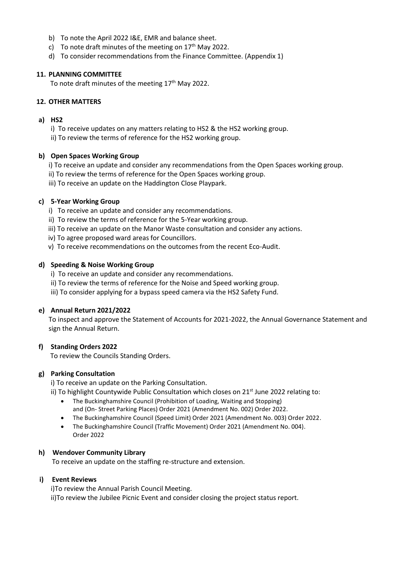- b) To note the April 2022 I&E, EMR and balance sheet.
- c) To note draft minutes of the meeting on  $17<sup>th</sup>$  May 2022.
- d) To consider recommendations from the Finance Committee. (Appendix 1)

#### **11. PLANNING COMMITTEE**

To note draft minutes of the meeting  $17<sup>th</sup>$  May 2022.

#### **12. OTHER MATTERS**

#### **a) HS2**

i) To receive updates on any matters relating to HS2 & the HS2 working group.

ii) To review the terms of reference for the HS2 working group.

#### **b) Open Spaces Working Group**

- i) To receive an update and consider any recommendations from the Open Spaces working group.
- ii) To review the terms of reference for the Open Spaces working group.
- iii) To receive an update on the Haddington Close Playpark.

#### **c) 5-Year Working Group**

- i) To receive an update and consider any recommendations.
- ii) To review the terms of reference for the 5-Year working group.
- iii) To receive an update on the Manor Waste consultation and consider any actions.
- iv) To agree proposed ward areas for Councillors.
- v) To receive recommendations on the outcomes from the recent Eco-Audit.

#### **d) Speeding & Noise Working Group**

- i) To receive an update and consider any recommendations.
- ii) To review the terms of reference for the Noise and Speed working group.
- iii) To consider applying for a bypass speed camera via the HS2 Safety Fund.

#### **e) Annual Return 2021/2022**

To inspect and approve the Statement of Accounts for 2021-2022, the Annual Governance Statement and sign the Annual Return.

#### **f) Standing Orders 2022**

To review the Councils Standing Orders.

#### **g) Parking Consultation**

i) To receive an update on the Parking Consultation.

ii) To highlight Countywide Public Consultation which closes on 21<sup>st</sup> June 2022 relating to:

- The Buckinghamshire Council (Prohibition of Loading, Waiting and Stopping) and (On- Street Parking Places) Order 2021 (Amendment No. 002) Order 2022.
- The Buckinghamshire Council (Speed Limit) Order 2021 (Amendment No. 003) Order 2022.
- The Buckinghamshire Council (Traffic Movement) Order 2021 (Amendment No. 004). Order 2022

#### **h) Wendover Community Library**

To receive an update on the staffing re-structure and extension.

#### **i) Event Reviews**

i)To review the Annual Parish Council Meeting. ii)To review the Jubilee Picnic Event and consider closing the project status report.